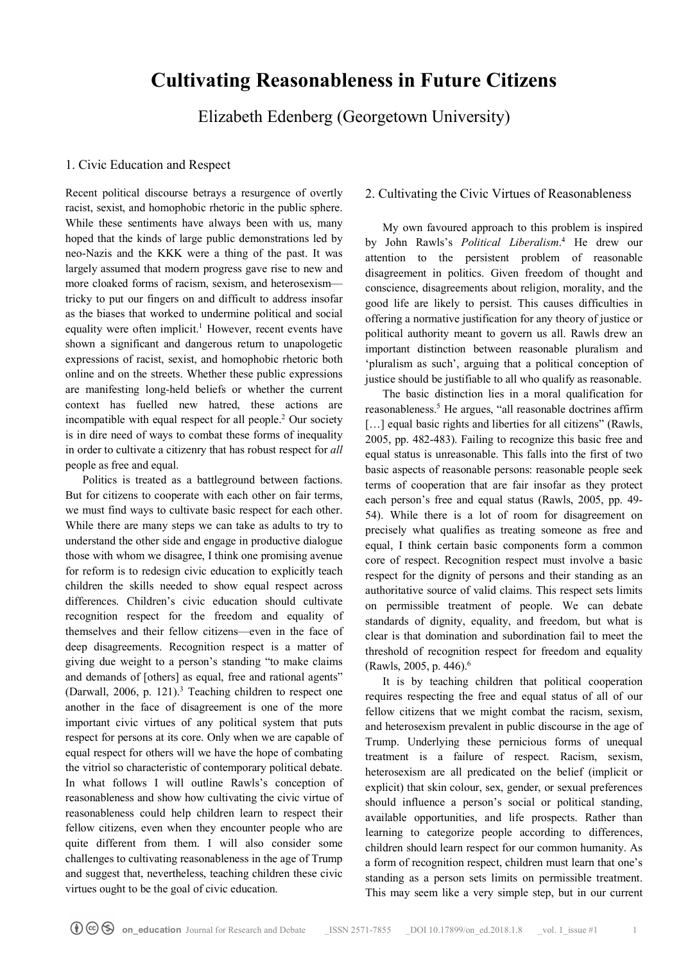# **Cultivating Reasonableness in Future Citizens**

Elizabeth Edenberg (Georgetown University)

#### 1. Civic Education and Respect

Recent political discourse betrays a resurgence of overtly racist, sexist, and homophobic rhetoric in the public sphere. While these sentiments have always been with us, many hoped that the kinds of large public demonstrations led by neo-Nazis and the KKK were a thing of the past. It was largely assumed that modern progress gave rise to new and more cloaked forms of racism, sexism, and heterosexism tricky to put our fingers on and difficult to address insofar as the biases that worked to undermine political and social equality were often implicit.<sup>1</sup> However, recent events have shown a significant and dangerous return to unapologetic expressions of racist, sexist, and homophobic rhetoric both online and on the streets. Whether these public expressions are manifesting long-held beliefs or whether the current context has fuelled new hatred, these actions are incompatible with equal respect for all people.2 Our society is in dire need of ways to combat these forms of inequality in order to cultivate a citizenry that has robust respect for *all*  people as free and equal.

 Politics is treated as a battleground between factions. But for citizens to cooperate with each other on fair terms, we must find ways to cultivate basic respect for each other. While there are many steps we can take as adults to try to understand the other side and engage in productive dialogue those with whom we disagree, I think one promising avenue for reform is to redesign civic education to explicitly teach children the skills needed to show equal respect across differences. Children's civic education should cultivate recognition respect for the freedom and equality of themselves and their fellow citizens—even in the face of deep disagreements. Recognition respect is a matter of giving due weight to a person's standing "to make claims and demands of [others] as equal, free and rational agents" (Darwall,  $2006$ , p. 121).<sup>3</sup> Teaching children to respect one another in the face of disagreement is one of the more important civic virtues of any political system that puts respect for persons at its core. Only when we are capable of equal respect for others will we have the hope of combating the vitriol so characteristic of contemporary political debate. In what follows I will outline Rawls's conception of reasonableness and show how cultivating the civic virtue of reasonableness could help children learn to respect their fellow citizens, even when they encounter people who are quite different from them. I will also consider some challenges to cultivating reasonableness in the age of Trump and suggest that, nevertheless, teaching children these civic virtues ought to be the goal of civic education.

## 2. Cultivating the Civic Virtues of Reasonableness

 My own favoured approach to this problem is inspired by John Rawls's *Political Liberalism*. <sup>4</sup> He drew our attention to the persistent problem of reasonable disagreement in politics. Given freedom of thought and conscience, disagreements about religion, morality, and the good life are likely to persist. This causes difficulties in offering a normative justification for any theory of justice or political authority meant to govern us all. Rawls drew an important distinction between reasonable pluralism and 'pluralism as such', arguing that a political conception of justice should be justifiable to all who qualify as reasonable.

 The basic distinction lies in a moral qualification for reasonableness.<sup>5</sup> He argues, "all reasonable doctrines affirm [...] equal basic rights and liberties for all citizens" (Rawls, 2005, pp. 482-483). Failing to recognize this basic free and equal status is unreasonable. This falls into the first of two basic aspects of reasonable persons: reasonable people seek terms of cooperation that are fair insofar as they protect each person's free and equal status (Rawls, 2005, pp. 49- 54). While there is a lot of room for disagreement on precisely what qualifies as treating someone as free and equal, I think certain basic components form a common core of respect. Recognition respect must involve a basic respect for the dignity of persons and their standing as an authoritative source of valid claims. This respect sets limits on permissible treatment of people. We can debate standards of dignity, equality, and freedom, but what is clear is that domination and subordination fail to meet the threshold of recognition respect for freedom and equality (Rawls, 2005, p. 446).6

 It is by teaching children that political cooperation requires respecting the free and equal status of all of our fellow citizens that we might combat the racism, sexism, and heterosexism prevalent in public discourse in the age of Trump. Underlying these pernicious forms of unequal treatment is a failure of respect. Racism, sexism, heterosexism are all predicated on the belief (implicit or explicit) that skin colour, sex, gender, or sexual preferences should influence a person's social or political standing, available opportunities, and life prospects. Rather than learning to categorize people according to differences, children should learn respect for our common humanity. As a form of recognition respect, children must learn that one's standing as a person sets limits on permissible treatment. This may seem like a very simple step, but in our current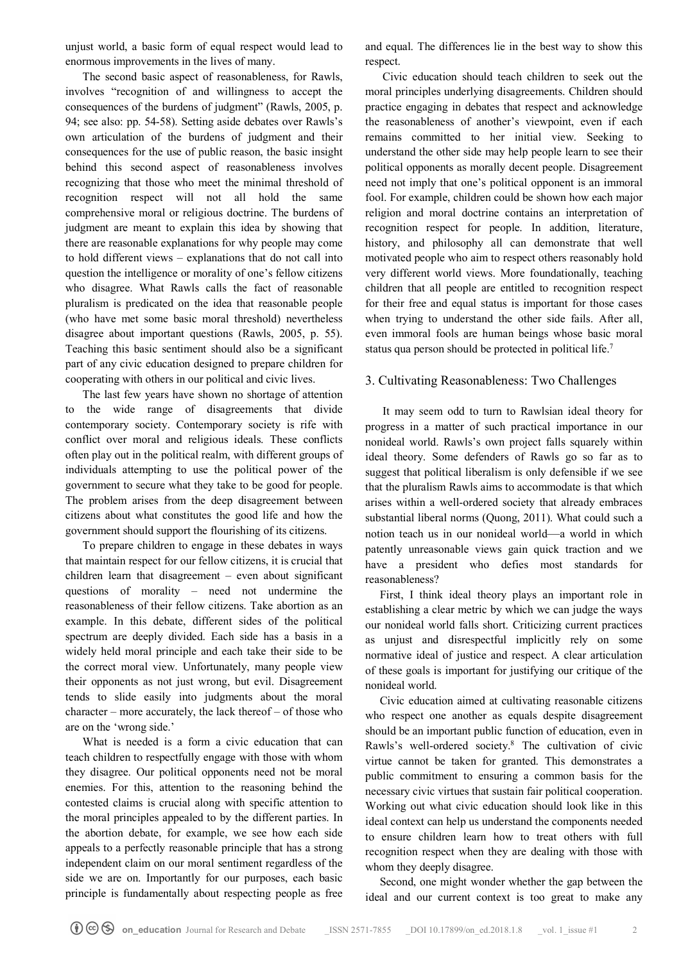unjust world, a basic form of equal respect would lead to enormous improvements in the lives of many.

 The second basic aspect of reasonableness, for Rawls, involves "recognition of and willingness to accept the consequences of the burdens of judgment" (Rawls, 2005, p. 94; see also: pp. 54-58). Setting aside debates over Rawls's own articulation of the burdens of judgment and their consequences for the use of public reason, the basic insight behind this second aspect of reasonableness involves recognizing that those who meet the minimal threshold of recognition respect will not all hold the same comprehensive moral or religious doctrine. The burdens of judgment are meant to explain this idea by showing that there are reasonable explanations for why people may come to hold different views – explanations that do not call into question the intelligence or morality of one's fellow citizens who disagree. What Rawls calls the fact of reasonable pluralism is predicated on the idea that reasonable people (who have met some basic moral threshold) nevertheless disagree about important questions (Rawls, 2005, p. 55). Teaching this basic sentiment should also be a significant part of any civic education designed to prepare children for cooperating with others in our political and civic lives.

 The last few years have shown no shortage of attention to the wide range of disagreements that divide contemporary society. Contemporary society is rife with conflict over moral and religious ideals. These conflicts often play out in the political realm, with different groups of individuals attempting to use the political power of the government to secure what they take to be good for people. The problem arises from the deep disagreement between citizens about what constitutes the good life and how the government should support the flourishing of its citizens.

 To prepare children to engage in these debates in ways that maintain respect for our fellow citizens, it is crucial that children learn that disagreement – even about significant questions of morality – need not undermine the reasonableness of their fellow citizens. Take abortion as an example. In this debate, different sides of the political spectrum are deeply divided. Each side has a basis in a widely held moral principle and each take their side to be the correct moral view. Unfortunately, many people view their opponents as not just wrong, but evil. Disagreement tends to slide easily into judgments about the moral character – more accurately, the lack thereof – of those who are on the 'wrong side.'

 What is needed is a form a civic education that can teach children to respectfully engage with those with whom they disagree. Our political opponents need not be moral enemies. For this, attention to the reasoning behind the contested claims is crucial along with specific attention to the moral principles appealed to by the different parties. In the abortion debate, for example, we see how each side appeals to a perfectly reasonable principle that has a strong independent claim on our moral sentiment regardless of the side we are on. Importantly for our purposes, each basic principle is fundamentally about respecting people as free and equal. The differences lie in the best way to show this respect.

 Civic education should teach children to seek out the moral principles underlying disagreements. Children should practice engaging in debates that respect and acknowledge the reasonableness of another's viewpoint, even if each remains committed to her initial view. Seeking to understand the other side may help people learn to see their political opponents as morally decent people. Disagreement need not imply that one's political opponent is an immoral fool. For example, children could be shown how each major religion and moral doctrine contains an interpretation of recognition respect for people. In addition, literature, history, and philosophy all can demonstrate that well motivated people who aim to respect others reasonably hold very different world views. More foundationally, teaching children that all people are entitled to recognition respect for their free and equal status is important for those cases when trying to understand the other side fails. After all, even immoral fools are human beings whose basic moral status qua person should be protected in political life.<sup>7</sup>

### 3. Cultivating Reasonableness: Two Challenges

 It may seem odd to turn to Rawlsian ideal theory for progress in a matter of such practical importance in our nonideal world. Rawls's own project falls squarely within ideal theory. Some defenders of Rawls go so far as to suggest that political liberalism is only defensible if we see that the pluralism Rawls aims to accommodate is that which arises within a well-ordered society that already embraces substantial liberal norms (Quong, 2011). What could such a notion teach us in our nonideal world—a world in which patently unreasonable views gain quick traction and we have a president who defies most standards for reasonableness?

 First, I think ideal theory plays an important role in establishing a clear metric by which we can judge the ways our nonideal world falls short. Criticizing current practices as unjust and disrespectful implicitly rely on some normative ideal of justice and respect. A clear articulation of these goals is important for justifying our critique of the nonideal world.

 Civic education aimed at cultivating reasonable citizens who respect one another as equals despite disagreement should be an important public function of education, even in Rawls's well-ordered society.8 The cultivation of civic virtue cannot be taken for granted. This demonstrates a public commitment to ensuring a common basis for the necessary civic virtues that sustain fair political cooperation. Working out what civic education should look like in this ideal context can help us understand the components needed to ensure children learn how to treat others with full recognition respect when they are dealing with those with whom they deeply disagree.

 Second, one might wonder whether the gap between the ideal and our current context is too great to make any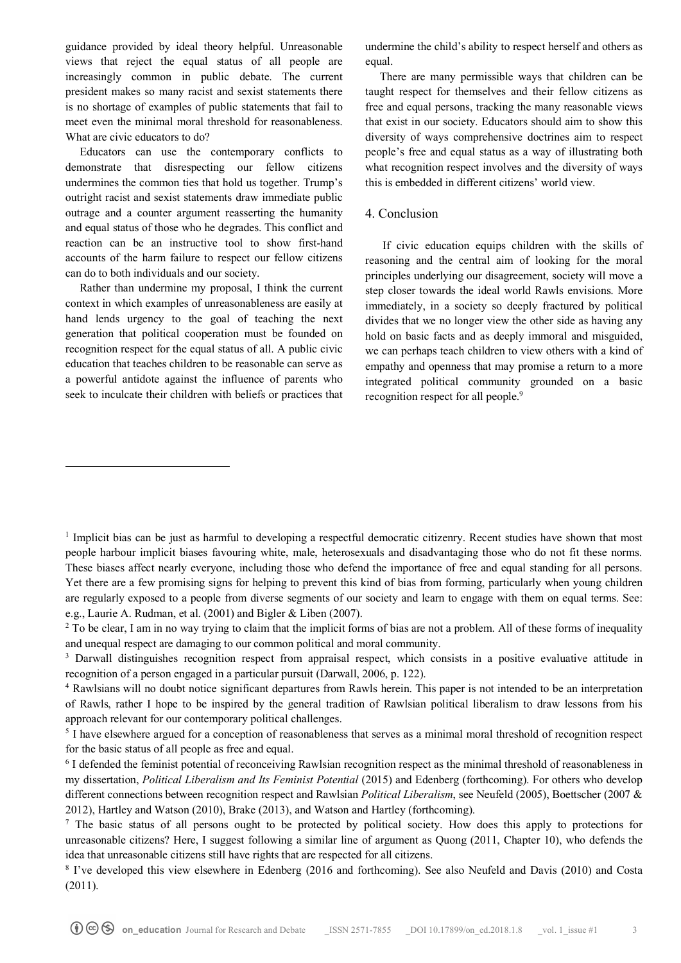guidance provided by ideal theory helpful. Unreasonable views that reject the equal status of all people are increasingly common in public debate. The current president makes so many racist and sexist statements there is no shortage of examples of public statements that fail to meet even the minimal moral threshold for reasonableness. What are civic educators to do?

 Educators can use the contemporary conflicts to demonstrate that disrespecting our fellow citizens undermines the common ties that hold us together. Trump's outright racist and sexist statements draw immediate public outrage and a counter argument reasserting the humanity and equal status of those who he degrades. This conflict and reaction can be an instructive tool to show first-hand accounts of the harm failure to respect our fellow citizens can do to both individuals and our society.

 Rather than undermine my proposal, I think the current context in which examples of unreasonableness are easily at hand lends urgency to the goal of teaching the next generation that political cooperation must be founded on recognition respect for the equal status of all. A public civic education that teaches children to be reasonable can serve as a powerful antidote against the influence of parents who seek to inculcate their children with beliefs or practices that

 $\overline{a}$ 

undermine the child's ability to respect herself and others as equal.

 There are many permissible ways that children can be taught respect for themselves and their fellow citizens as free and equal persons, tracking the many reasonable views that exist in our society. Educators should aim to show this diversity of ways comprehensive doctrines aim to respect people's free and equal status as a way of illustrating both what recognition respect involves and the diversity of ways this is embedded in different citizens' world view.

#### 4. Conclusion

 If civic education equips children with the skills of reasoning and the central aim of looking for the moral principles underlying our disagreement, society will move a step closer towards the ideal world Rawls envisions. More immediately, in a society so deeply fractured by political divides that we no longer view the other side as having any hold on basic facts and as deeply immoral and misguided, we can perhaps teach children to view others with a kind of empathy and openness that may promise a return to a more integrated political community grounded on a basic recognition respect for all people.<sup>9</sup>

<sup>&</sup>lt;sup>1</sup> Implicit bias can be just as harmful to developing a respectful democratic citizenry. Recent studies have shown that most people harbour implicit biases favouring white, male, heterosexuals and disadvantaging those who do not fit these norms. These biases affect nearly everyone, including those who defend the importance of free and equal standing for all persons. Yet there are a few promising signs for helping to prevent this kind of bias from forming, particularly when young children are regularly exposed to a people from diverse segments of our society and learn to engage with them on equal terms. See: e.g., Laurie A. Rudman, et al. (2001) and Bigler & Liben (2007).

<sup>&</sup>lt;sup>2</sup> To be clear, I am in no way trying to claim that the implicit forms of bias are not a problem. All of these forms of inequality and unequal respect are damaging to our common political and moral community.

<sup>&</sup>lt;sup>3</sup> Darwall distinguishes recognition respect from appraisal respect, which consists in a positive evaluative attitude in recognition of a person engaged in a particular pursuit (Darwall, 2006, p. 122).

<sup>4</sup> Rawlsians will no doubt notice significant departures from Rawls herein. This paper is not intended to be an interpretation of Rawls, rather I hope to be inspired by the general tradition of Rawlsian political liberalism to draw lessons from his approach relevant for our contemporary political challenges.

<sup>&</sup>lt;sup>5</sup> I have elsewhere argued for a conception of reasonableness that serves as a minimal moral threshold of recognition respect for the basic status of all people as free and equal.

<sup>6</sup> I defended the feminist potential of reconceiving Rawlsian recognition respect as the minimal threshold of reasonableness in my dissertation, *Political Liberalism and Its Feminist Potential* (2015) and Edenberg (forthcoming). For others who develop different connections between recognition respect and Rawlsian *Political Liberalism*, see Neufeld (2005), Boettscher (2007 & 2012), Hartley and Watson (2010), Brake (2013), and Watson and Hartley (forthcoming).

 $\frac{7}{1}$  The basic status of all persons ought to be protected by political society. How does this apply to protections for unreasonable citizens? Here, I suggest following a similar line of argument as Quong (2011, Chapter 10), who defends the idea that unreasonable citizens still have rights that are respected for all citizens.

<sup>8</sup> I've developed this view elsewhere in Edenberg (2016 and forthcoming). See also Neufeld and Davis (2010) and Costa (2011).